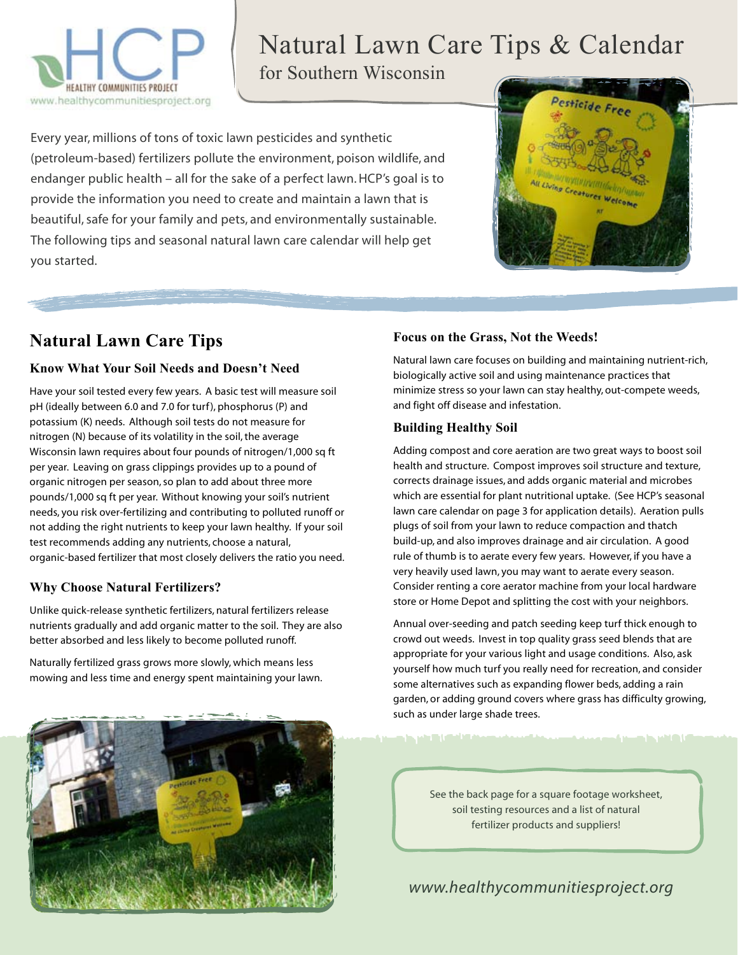

# Natural Lawn Care Tips & Calendar

for Southern Wisconsin

Every year, millions of tons of toxic lawn pesticides and synthetic (petroleum-based) fertilizers pollute the environment, poison wildlife, and endanger public health – all for the sake of a perfect lawn. HCP's goal is to provide the information you need to create and maintain a lawn that is beautiful, safe for your family and pets, and environmentally sustainable. The following tips and seasonal natural lawn care calendar will help get you started.



### **Natural Lawn Care Tips**

#### **Know What Your Soil Needs and Doesn't Need**

Have your soil tested every few years. A basic test will measure soil pH (ideally between 6.0 and 7.0 for turf), phosphorus (P) and potassium (K) needs. Although soil tests do not measure for nitrogen (N) because of its volatility in the soil, the average Wisconsin lawn requires about four pounds of nitrogen/1,000 sq ft per year. Leaving on grass clippings provides up to a pound of organic nitrogen per season, so plan to add about three more pounds/1,000 sq ft per year. Without knowing your soil's nutrient needs, you risk over-fertilizing and contributing to polluted runoff or not adding the right nutrients to keep your lawn healthy. If your soil test recommends adding any nutrients, choose a natural, organic-based fertilizer that most closely delivers the ratio you need.

#### **Why Choose Natural Fertilizers?**

Unlike quick-release synthetic fertilizers, natural fertilizers release nutrients gradually and add organic matter to the soil. They are also better absorbed and less likely to become polluted runoff.

Naturally fertilized grass grows more slowly, which means less mowing and less time and energy spent maintaining your lawn.



#### **Focus on the Grass, Not the Weeds!**

Natural lawn care focuses on building and maintaining nutrient-rich, biologically active soil and using maintenance practices that minimize stress so your lawn can stay healthy, out-compete weeds, and fight off disease and infestation.

#### **Building Healthy Soil**

n in 1993. Di Labi 1994

Adding compost and core aeration are two great ways to boost soil health and structure. Compost improves soil structure and texture, corrects drainage issues, and adds organic material and microbes which are essential for plant nutritional uptake. (See HCP's seasonal lawn care calendar on page 3 for application details). Aeration pulls plugs of soil from your lawn to reduce compaction and thatch build-up, and also improves drainage and air circulation. A good rule of thumb is to aerate every few years. However, if you have a very heavily used lawn, you may want to aerate every season. Consider renting a core aerator machine from your local hardware store or Home Depot and splitting the cost with your neighbors.

Annual over-seeding and patch seeding keep turf thick enough to crowd out weeds. Invest in top quality grass seed blends that are appropriate for your various light and usage conditions. Also, ask yourself how much turf you really need for recreation, and consider some alternatives such as expanding flower beds, adding a rain garden, or adding ground covers where grass has difficulty growing, such as under large shade trees.

<u>Angelin Miller</u>

See the back page for a square footage worksheet, soil testing resources and a list of natural fertilizer products and suppliers!

*www.healthycommunitiesproject.org*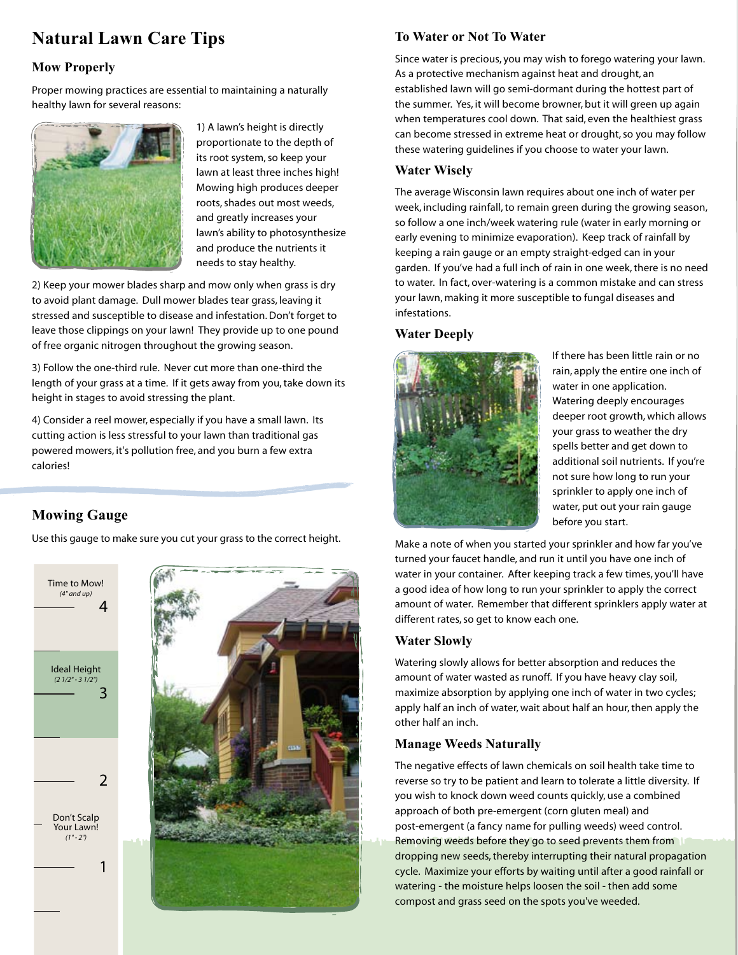## **Natural Lawn Care Tips**

#### **Mow Properly**

Proper mowing practices are essential to maintaining a naturally healthy lawn for several reasons:



1) A lawn's height is directly proportionate to the depth of its root system, so keep your lawn at least three inches high! Mowing high produces deeper roots, shades out most weeds, and greatly increases your lawn's ability to photosynthesize and produce the nutrients it needs to stay healthy.

2) Keep your mower blades sharp and mow only when grass is dry to avoid plant damage. Dull mower blades tear grass, leaving it stressed and susceptible to disease and infestation. Don't forget to leave those clippings on your lawn! They provide up to one pound of free organic nitrogen throughout the growing season.

3) Follow the one-third rule. Never cut more than one-third the length of your grass at a time. If it gets away from you, take down its height in stages to avoid stressing the plant.

4) Consider a reel mower, especially if you have a small lawn. Its cutting action is less stressful to your lawn than traditional gas powered mowers, it's pollution free, and you burn a few extra calories!

#### **Mowing Gauge**

Use this gauge to make sure you cut your grass to the correct height.





#### **To Water or Not To Water**

Since water is precious, you may wish to forego watering your lawn. As a protective mechanism against heat and drought, an established lawn will go semi-dormant during the hottest part of the summer. Yes, it will become browner, but it will green up again when temperatures cool down. That said, even the healthiest grass can become stressed in extreme heat or drought, so you may follow these watering guidelines if you choose to water your lawn.

#### **Water Wisely**

The average Wisconsin lawn requires about one inch of water per week, including rainfall, to remain green during the growing season, so follow a one inch/week watering rule (water in early morning or early evening to minimize evaporation). Keep track of rainfall by keeping a rain gauge or an empty straight-edged can in your garden. If you've had a full inch of rain in one week, there is no need to water. In fact, over-watering is a common mistake and can stress your lawn, making it more susceptible to fungal diseases and infestations.

#### **Water Deeply**



If there has been little rain or no rain, apply the entire one inch of water in one application. Watering deeply encourages deeper root growth, which allows your grass to weather the dry spells better and get down to additional soil nutrients. If you're not sure how long to run your sprinkler to apply one inch of water, put out your rain gauge before you start.

Make a note of when you started your sprinkler and how far you've turned your faucet handle, and run it until you have one inch of water in your container. After keeping track a few times, you'll have a good idea of how long to run your sprinkler to apply the correct amount of water. Remember that different sprinklers apply water at different rates, so get to know each one.

#### **Water Slowly**

Watering slowly allows for better absorption and reduces the amount of water wasted as runoff. If you have heavy clay soil, maximize absorption by applying one inch of water in two cycles; apply half an inch of water, wait about half an hour, then apply the other half an inch.

#### **Manage Weeds Naturally**

The negative effects of lawn chemicals on soil health take time to reverse so try to be patient and learn to tolerate a little diversity. If you wish to knock down weed counts quickly, use a combined approach of both pre-emergent (corn gluten meal) and post-emergent (a fancy name for pulling weeds) weed control. Removing weeds before they go to seed prevents them from dropping new seeds, thereby interrupting their natural propagation cycle. Maximize your efforts by waiting until after a good rainfall or watering - the moisture helps loosen the soil - then add some compost and grass seed on the spots you've weeded.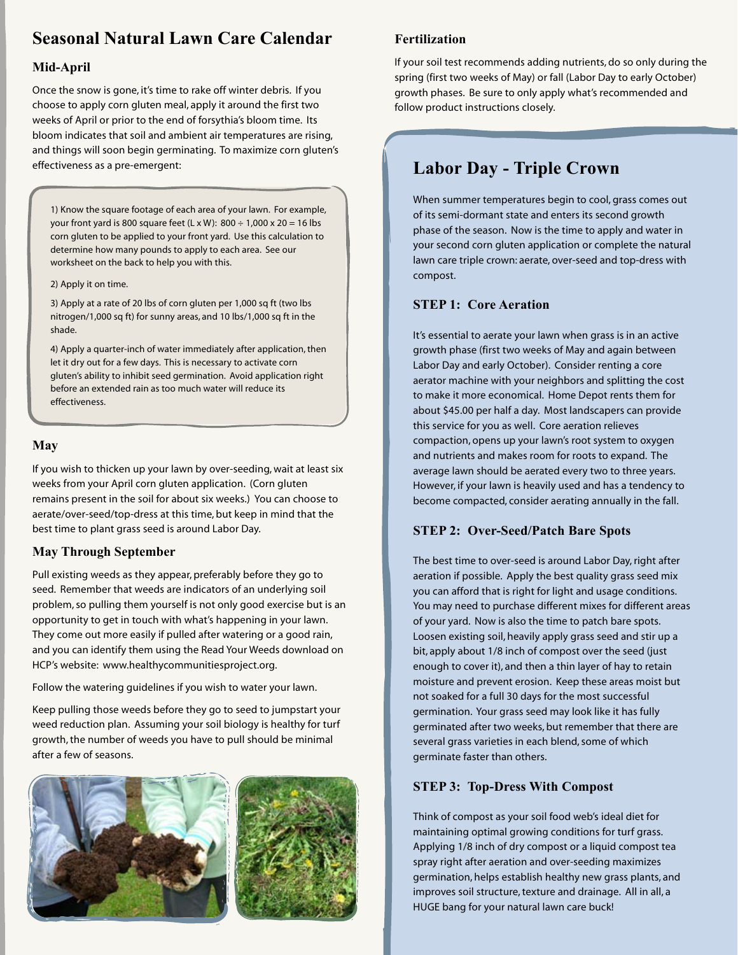### **Seasonal Natural Lawn Care Calendar**

#### **Mid-April**

Once the snow is gone, it's time to rake off winter debris. If you choose to apply corn gluten meal, apply it around the first two weeks of April or prior to the end of forsythia's bloom time. Its bloom indicates that soil and ambient air temperatures are rising, and things will soon begin germinating. To maximize corn gluten's effectiveness as a pre-emergent: **Labor Day - Triple Crown** 

1) Know the square footage of each area of your lawn. For example, your front yard is 800 square feet (L x W):  $800 \div 1,000 \times 20 = 16$  lbs corn gluten to be applied to your front yard. Use this calculation to determine how many pounds to apply to each area. See our worksheet on the back to help you with this.

2) Apply it on time.

3) Apply at a rate of 20 lbs of corn gluten per 1,000 sq ft (two lbs nitrogen/1,000 sq ft) for sunny areas, and 10 lbs/1,000 sq ft in the shade.

4) Apply a quarter-inch of water immediately after application, then let it dry out for a few days. This is necessary to activate corn gluten's ability to inhibit seed germination. Avoid application right before an extended rain as too much water will reduce its effectiveness.

#### **May**

If you wish to thicken up your lawn by over-seeding, wait at least six weeks from your April corn gluten application. (Corn gluten remains present in the soil for about six weeks.) You can choose to aerate/over-seed/top-dress at this time, but keep in mind that the best time to plant grass seed is around Labor Day.

#### **May Through September**

Pull existing weeds as they appear, preferably before they go to seed. Remember that weeds are indicators of an underlying soil problem, so pulling them yourself is not only good exercise but is an opportunity to get in touch with what's happening in your lawn. They come out more easily if pulled after watering or a good rain, and you can identify them using the Read Your Weeds download on HCP's website: www.healthycommunitiesproject.org.

Follow the watering guidelines if you wish to water your lawn.

Keep pulling those weeds before they go to seed to jumpstart your weed reduction plan. Assuming your soil biology is healthy for turf growth, the number of weeds you have to pull should be minimal after a few of seasons.



#### **Fertilization**

If your soil test recommends adding nutrients, do so only during the spring (first two weeks of May) or fall (Labor Day to early October) growth phases. Be sure to only apply what's recommended and follow product instructions closely.

When summer temperatures begin to cool, grass comes out of its semi-dormant state and enters its second growth phase of the season. Now is the time to apply and water in your second corn gluten application or complete the natural lawn care triple crown: aerate, over-seed and top-dress with compost.

#### **STEP 1: Core Aeration**

It's essential to aerate your lawn when grass is in an active growth phase (first two weeks of May and again between Labor Day and early October). Consider renting a core aerator machine with your neighbors and splitting the cost to make it more economical. Home Depot rents them for about \$45.00 per half a day. Most landscapers can provide this service for you as well. Core aeration relieves compaction, opens up your lawn's root system to oxygen and nutrients and makes room for roots to expand. The average lawn should be aerated every two to three years. However, if your lawn is heavily used and has a tendency to become compacted, consider aerating annually in the fall.

#### **STEP 2: Over-Seed/Patch Bare Spots**

The best time to over-seed is around Labor Day, right after aeration if possible. Apply the best quality grass seed mix you can afford that is right for light and usage conditions. You may need to purchase different mixes for different areas of your yard. Now is also the time to patch bare spots. Loosen existing soil, heavily apply grass seed and stir up a bit, apply about 1/8 inch of compost over the seed (just enough to cover it), and then a thin layer of hay to retain moisture and prevent erosion. Keep these areas moist but not soaked for a full 30 days for the most successful germination. Your grass seed may look like it has fully germinated after two weeks, but remember that there are several grass varieties in each blend, some of which germinate faster than others.

#### **STEP 3: Top-Dress With Compost**

Think of compost as your soil food web's ideal diet for maintaining optimal growing conditions for turf grass. Applying 1/8 inch of dry compost or a liquid compost tea spray right after aeration and over-seeding maximizes germination, helps establish healthy new grass plants, and improves soil structure, texture and drainage. All in all, a HUGE bang for your natural lawn care buck!